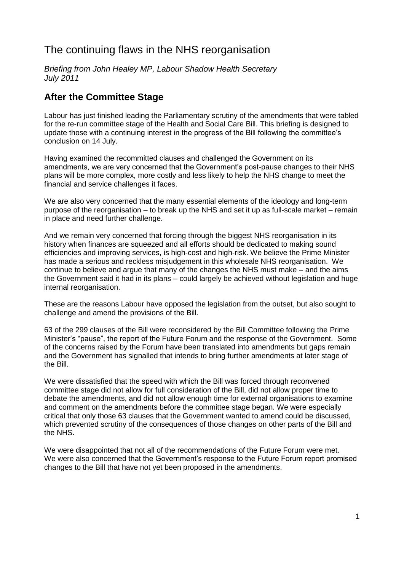# The continuing flaws in the NHS reorganisation

*Briefing from John Healey MP, Labour Shadow Health Secretary July 2011*

### **After the Committee Stage**

Labour has just finished leading the Parliamentary scrutiny of the amendments that were tabled for the re-run committee stage of the Health and Social Care Bill. This briefing is designed to update those with a continuing interest in the progress of the Bill following the committee's conclusion on 14 July.

Having examined the recommitted clauses and challenged the Government on its amendments, we are very concerned that the Government's post-pause changes to their NHS plans will be more complex, more costly and less likely to help the NHS change to meet the financial and service challenges it faces.

We are also very concerned that the many essential elements of the ideology and long-term purpose of the reorganisation – to break up the NHS and set it up as full-scale market – remain in place and need further challenge.

And we remain very concerned that forcing through the biggest NHS reorganisation in its history when finances are squeezed and all efforts should be dedicated to making sound efficiencies and improving services, is high-cost and high-risk. We believe the Prime Minister has made a serious and reckless misjudgement in this wholesale NHS reorganisation. We continue to believe and argue that many of the changes the NHS must make – and the aims the Government said it had in its plans – could largely be achieved without legislation and huge internal reorganisation.

These are the reasons Labour have opposed the legislation from the outset, but also sought to challenge and amend the provisions of the Bill.

63 of the 299 clauses of the Bill were reconsidered by the Bill Committee following the Prime Minister's "pause", the report of the Future Forum and the response of the Government. Some of the concerns raised by the Forum have been translated into amendments but gaps remain and the Government has signalled that intends to bring further amendments at later stage of the Bill.

We were dissatisfied that the speed with which the Bill was forced through reconvened committee stage did not allow for full consideration of the Bill, did not allow proper time to debate the amendments, and did not allow enough time for external organisations to examine and comment on the amendments before the committee stage began. We were especially critical that only those 63 clauses that the Government wanted to amend could be discussed, which prevented scrutiny of the consequences of those changes on other parts of the Bill and the NHS.

We were disappointed that not all of the recommendations of the Future Forum were met. We were also concerned that the Government's response to the Future Forum report promised changes to the Bill that have not yet been proposed in the amendments.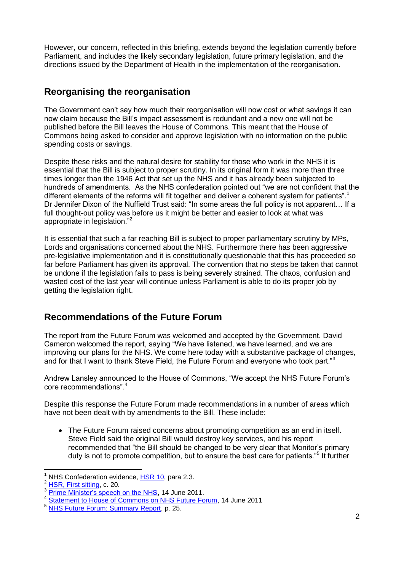However, our concern, reflected in this briefing, extends beyond the legislation currently before Parliament, and includes the likely secondary legislation, future primary legislation, and the directions issued by the Department of Health in the implementation of the reorganisation.

### **Reorganising the reorganisation**

The Government can't say how much their reorganisation will now cost or what savings it can now claim because the Bill's impact assessment is redundant and a new one will not be published before the Bill leaves the House of Commons. This meant that the House of Commons being asked to consider and approve legislation with no information on the public spending costs or savings.

Despite these risks and the natural desire for stability for those who work in the NHS it is essential that the Bill is subject to proper scrutiny. In its original form it was more than three times longer than the 1946 Act that set up the NHS and it has already been subjected to hundreds of amendments. As the NHS confederation pointed out "we are not confident that the different elements of the reforms will fit together and deliver a coherent system for patients".<sup>1</sup> Dr Jennifer Dixon of the Nuffield Trust said: "In some areas the full policy is not apparent... If a full thought-out policy was before us it might be better and easier to look at what was appropriate in legislation."<sup>2</sup>

It is essential that such a far reaching Bill is subject to proper parliamentary scrutiny by MPs, Lords and organisations concerned about the NHS. Furthermore there has been aggressive pre-legislative implementation and it is constitutionally questionable that this has proceeded so far before Parliament has given its approval. The convention that no steps be taken that cannot be undone if the legislation fails to pass is being severely strained. The chaos, confusion and wasted cost of the last year will continue unless Parliament is able to do its proper job by getting the legislation right.

# **Recommendations of the Future Forum**

The report from the Future Forum was welcomed and accepted by the Government. David Cameron welcomed the report, saying "We have listened, we have learned, and we are improving our plans for the NHS. We come here today with a substantive package of changes, and for that I want to thank Steve Field, the Future Forum and everyone who took part."<sup>3</sup>

Andrew Lansley announced to the House of Commons, "We accept the NHS Future Forum's core recommendations".<sup>4</sup>

Despite this response the Future Forum made recommendations in a number of areas which have not been dealt with by amendments to the Bill. These include:

 The Future Forum raised concerns about promoting competition as an end in itself. Steve Field said the original Bill would destroy key services, and his report recommended that "the Bill should be changed to be very clear that Monitor's primary duty is not to promote competition, but to ensure the best care for patients."<sup>5</sup> It further

NHS Confederation evidence, [HSR 10,](http://www.publications.parliament.uk/pa/cm201011/cmpublic/health/memo28june/hsr10.htm) para 2.3.

 $\frac{2}{3}$  [HSR, First sitting,](http://www.publications.parliament.uk/pa/cm201011/cmpublic/health/110628/am/110628s01.htm) c. 20.

[Prime Minister's speech on the NHS,](http://www.number10.gov.uk/news/pms-speech-on-the-nhs/) 14 June 2011.

<sup>&</sup>lt;sup>4</sup> [Statement to House of Commons on NHS Future Forum,](http://www.publications.parliament.uk/pa/cm201011/cmhansrd/cm110614/debtext/110614-0001.htm#11061453000003) 14 June 2011

<sup>5</sup> [NHS Future Forum: Summary Report,](http://www.dh.gov.uk/prod_consum_dh/groups/dh_digitalassets/documents/digitalasset/dh_127540.pdf) p. 25.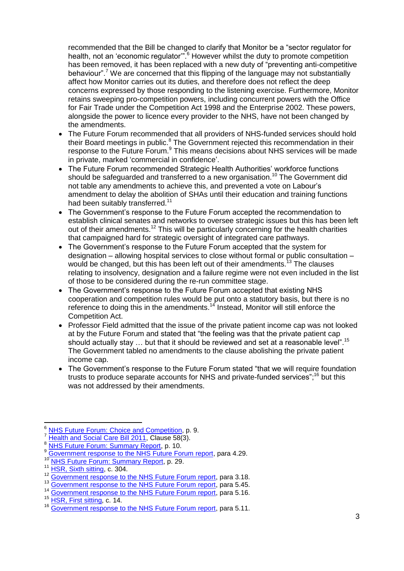recommended that the Bill be changed to clarify that Monitor be a "sector regulator for health, not an 'economic regulator".<sup>6</sup> However whilst the duty to promote competition has been removed, it has been replaced with a new duty of "preventing anti-competitive behaviour".<sup>7</sup> We are concerned that this flipping of the language may not substantially affect how Monitor carries out its duties, and therefore does not reflect the deep concerns expressed by those responding to the listening exercise. Furthermore, Monitor retains sweeping pro-competition powers, including concurrent powers with the Office for Fair Trade under the Competition Act 1998 and the Enterprise 2002. These powers, alongside the power to licence every provider to the NHS, have not been changed by the amendments.

- The Future Forum recommended that all providers of NHS-funded services should hold their Board meetings in public.<sup>8</sup> The Government rejected this recommendation in their response to the Future Forum.<sup>9</sup> This means decisions about NHS services will be made in private, marked 'commercial in confidence'.
- The Future Forum recommended Strategic Health Authorities' workforce functions should be safeguarded and transferred to a new organisation.<sup>10</sup> The Government did not table any amendments to achieve this, and prevented a vote on Labour's amendment to delay the abolition of SHAs until their education and training functions had been suitably transferred.<sup>11</sup>
- The Government's response to the Future Forum accepted the recommendation to establish clinical senates and networks to oversee strategic issues but this has been left out of their amendments.<sup>12</sup> This will be particularly concerning for the health charities that campaigned hard for strategic oversight of integrated care pathways.
- The Government's response to the Future Forum accepted that the system for designation – allowing hospital services to close without formal or public consultation – would be changed, but this has been left out of their amendments.<sup>13</sup> The clauses relating to insolvency, designation and a failure regime were not even included in the list of those to be considered during the re-run committee stage.
- The Government's response to the Future Forum accepted that existing NHS cooperation and competition rules would be put onto a statutory basis, but there is no reference to doing this in the amendments.<sup>14</sup> Instead, Monitor will still enforce the Competition Act.
- Professor Field admitted that the issue of the private patient income cap was not looked at by the Future Forum and stated that "the feeling was that the private patient cap should actually stay  $\ldots$  but that it should be reviewed and set at a reasonable level". <sup>15</sup> The Government tabled no amendments to the clause abolishing the private patient income cap.
- The Government's response to the Future Forum stated "that we will require foundation trusts to produce separate accounts for NHS and private-funded services";<sup>16</sup> but this was not addressed by their amendments.

 $\frac{6}{7}$  [NHS Future Forum: Choice and Competition,](http://www.dh.gov.uk/prod_consum_dh/groups/dh_digitalassets/documents/digitalasset/dh_127541.pdf) p. 9.

[Health and Social Care Bill 2011,](http://www.publications.parliament.uk/pa/bills/cbill/2010-2012/0221/cbill_2010-20120221_en_10.htm#pt3-ch1-l1g58) Clause 58(3).

<sup>8</sup> [NHS Future Forum: Summary Report,](http://www.dh.gov.uk/prod_consum_dh/groups/dh_digitalassets/documents/digitalasset/dh_127540.pdf) p. 10.

<sup>9</sup> [Government response to the NHS Future Forum report,](http://www.dh.gov.uk/prod_consum_dh/groups/dh_digitalassets/documents/digitalasset/dh_127719.pdf) para 4.29.

[NHS Future Forum: Summary Report,](http://www.dh.gov.uk/prod_consum_dh/groups/dh_digitalassets/documents/digitalasset/dh_127540.pdf) p. 29.

 $\frac{11}{12}$  [HSR, Sixth sitting,](http://www.publications.parliament.uk/pa/cm201011/cmpublic/health/110705/pm/110705s01.htm) c. 304.

<sup>&</sup>lt;sup>12</sup> [Government response to the NHS Future Forum report,](http://www.dh.gov.uk/prod_consum_dh/groups/dh_digitalassets/documents/digitalasset/dh_127719.pdf) para 3.18.

[Government response to the NHS Future Forum report,](http://www.dh.gov.uk/prod_consum_dh/groups/dh_digitalassets/documents/digitalasset/dh_127719.pdf) para 5.45.

<sup>&</sup>lt;sup>14</sup> [Government response to the NHS Future Forum report,](http://www.dh.gov.uk/prod_consum_dh/groups/dh_digitalassets/documents/digitalasset/dh_127719.pdf) para 5.16.

<sup>15</sup> [HSR, First sitting,](http://www.publications.parliament.uk/pa/cm201011/cmpublic/health/110628/am/110628s01.htm) c. 14.

<sup>&</sup>lt;sup>16</sup> [Government response to the NHS Future Forum report,](http://www.dh.gov.uk/prod_consum_dh/groups/dh_digitalassets/documents/digitalasset/dh_127719.pdf) para 5.11.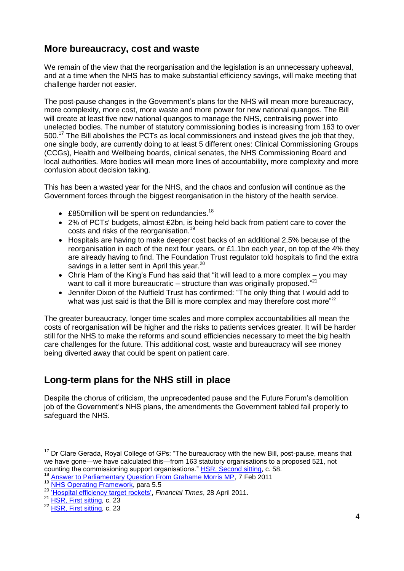### **More bureaucracy, cost and waste**

We remain of the view that the reorganisation and the legislation is an unnecessary upheaval, and at a time when the NHS has to make substantial efficiency savings, will make meeting that challenge harder not easier.

The post-pause changes in the Government's plans for the NHS will mean more bureaucracy, more complexity, more cost, more waste and more power for new national quangos. The Bill will create at least five new national quangos to manage the NHS, centralising power into unelected bodies. The number of statutory commissioning bodies is increasing from 163 to over 500.<sup>17</sup> The Bill abolishes the PCTs as local commissioners and instead gives the job that they, one single body, are currently doing to at least 5 different ones: Clinical Commissioning Groups (CCGs), Health and Wellbeing boards, clinical senates, the NHS Commissioning Board and local authorities. More bodies will mean more lines of accountability, more complexity and more confusion about decision taking.

This has been a wasted year for the NHS, and the chaos and confusion will continue as the Government forces through the biggest reorganisation in the history of the health service.

- $\bullet$  £850 million will be spent on redundancies.<sup>18</sup>
- 2% of PCTs' budgets, almost £2bn, is being held back from patient care to cover the costs and risks of the reorganisation.<sup>19</sup>
- Hospitals are having to make deeper cost backs of an additional 2.5% because of the reorganisation in each of the next four years, or £1.1bn each year, on top of the 4% they are already having to find. The Foundation Trust regulator told hospitals to find the extra savings in a letter sent in April this year.<sup>20</sup>
- Chris Ham of the King's Fund has said that "it will lead to a more complex you may want to call it more bureaucratic – structure than was originally proposed. $^{21}$
- Jennifer Dixon of the Nuffield Trust has confirmed: "The only thing that I would add to what was just said is that the Bill is more complex and may therefore cost more"<sup>22</sup>

The greater bureaucracy, longer time scales and more complex accountabilities all mean the costs of reorganisation will be higher and the risks to patients services greater. It will be harder still for the NHS to make the reforms and sound efficiencies necessary to meet the big health care challenges for the future. This additional cost, waste and bureaucracy will see money being diverted away that could be spent on patient care.

# **Long-term plans for the NHS still in place**

Despite the chorus of criticism, the unprecedented pause and the Future Forum's demolition job of the Government's NHS plans, the amendments the Government tabled fail properly to safeguard the NHS.

<sup>21</sup> [HSR, First sitting,](http://www.publications.parliament.uk/pa/cm201011/cmpublic/health/110628/am/110628s01.htm) c. 23

 $17$  Dr Clare Gerada, Royal College of GPs: "The bureaucracy with the new Bill, post-pause, means that we have gone—we have calculated this—from 163 statutory organisations to a proposed 521, not counting the commissioning support organisations." [HSR, Second sitting,](http://www.publications.parliament.uk/pa/cm201011/cmpublic/health/110628/am/110628s01.htm) c. 58.

<sup>18</sup> [Answer to Parliamentary Question From Grahame Morris MP,](http://www.publications.parliament.uk/pa/cm201011/cmhansrd/cm110207/text/110207w0004.htm#11020736000024) 7 Feb 2011<br><sup>18</sup> Answer to Parliamentary Question From Grahame Morris MP, 7 Feb 2011

[NHS Operating Framework,](http://www.dh.gov.uk/prod_consum_dh/groups/dh_digitalassets/@dh/@en/@ps/documents/digitalasset/dh_122736.pdf) para 5.5

<sup>20</sup> ['Hospital efficiency target rockets',](http://www.ft.com/cms/s/0/1f91a26c-71c9-11e0-9adf-00144feabdc0.html#axzz1Q5T7VjsQ) *Financial Times*, 28 April 2011.

<sup>22</sup> [HSR, First sitting,](http://www.publications.parliament.uk/pa/cm201011/cmpublic/health/110628/am/110628s01.htm) c. 23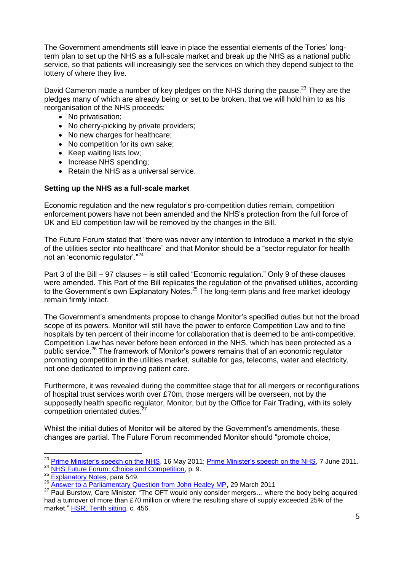The Government amendments still leave in place the essential elements of the Tories' longterm plan to set up the NHS as a full-scale market and break up the NHS as a national public service, so that patients will increasingly see the services on which they depend subject to the lottery of where they live.

David Cameron made a number of key pledges on the NHS during the pause.<sup>23</sup> They are the pledges many of which are already being or set to be broken, that we will hold him to as his reorganisation of the NHS proceeds:

- No privatisation;
- No cherry-picking by private providers;
- No new charges for healthcare:
- No competition for its own sake;
- Keep waiting lists low;
- Increase NHS spending;
- Retain the NHS as a universal service.

#### **Setting up the NHS as a full-scale market**

Economic regulation and the new regulator's pro-competition duties remain, competition enforcement powers have not been amended and the NHS's protection from the full force of UK and EU competition law will be removed by the changes in the Bill.

The Future Forum stated that "there was never any intention to introduce a market in the style of the utilities sector into healthcare" and that Monitor should be a "sector regulator for health not an 'economic regulator'."<sup>24</sup>

Part 3 of the Bill – 97 clauses – is still called "Economic regulation." Only 9 of these clauses were amended. This Part of the Bill replicates the regulation of the privatised utilities, according to the Government's own Explanatory Notes.<sup>25</sup> The long-term plans and free market ideology remain firmly intact.

The Government's amendments propose to change Monitor's specified duties but not the broad scope of its powers. Monitor will still have the power to enforce Competition Law and to fine hospitals by ten percent of their income for collaboration that is deemed to be anti-competitive. Competition Law has never before been enforced in the NHS, which has been protected as a public service.<sup>26</sup> The framework of Monitor's powers remains that of an economic regulator promoting competition in the utilities market, suitable for gas, telecoms, water and electricity, not one dedicated to improving patient care.

Furthermore, it was revealed during the committee stage that for all mergers or reconfigurations of hospital trust services worth over £70m, those mergers will be overseen, not by the supposedly health specific regulator, Monitor, but by the Office for Fair Trading, with its solely competition orientated duties.<sup>27</sup>

Whilst the initial duties of Monitor will be altered by the Government's amendments, these changes are partial. The Future Forum recommended Monitor should "promote choice,

<sup>&</sup>lt;sup>23</sup> [Prime Minister's speech on the NHS,](http://www.number10.gov.uk/news/speech-on-the-nhs/) 16 May 2011; [Prime Minister's speech on the NHS,](http://www.number10.gov.uk/news/speech-on-the-nhs-2/) 7 June 2011. <sup>24</sup> [NHS Future Forum: Choice and Competition,](http://www.dh.gov.uk/prod_consum_dh/groups/dh_digitalassets/documents/digitalasset/dh_127541.pdf) p. 9.

<sup>25</sup> [Explanatory Notes,](http://www.publications.parliament.uk/pa/cm201011/cmbills/132/en/11132en.htm) para 549.

<sup>26</sup> [Answer to a Parliamentary Question from John Healey MP,](http://www.publications.parliament.uk/pa/cm201011/cmhansrd/cm110329/text/110329w0005.htm#11032987002269) 29 March 2011

 $27$  Paul Burstow, Care Minister: "The OFT would only consider mergers... where the body being acquired had a turnover of more than £70 million or where the resulting share of supply exceeded 25% of the market." [HSR, Tenth sitting,](http://www.publications.parliament.uk/pa/cm201011/cmpublic/health/110712/pm/110712s01.htm) c. 456.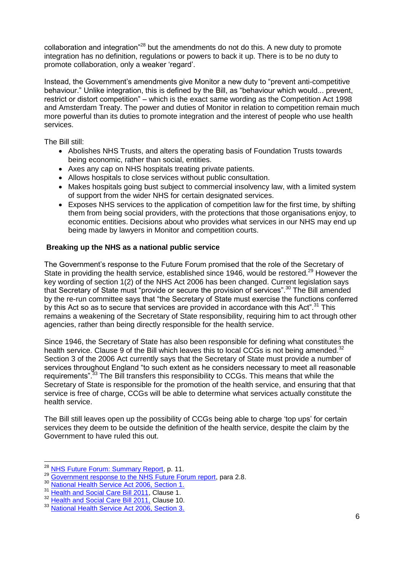collaboration and integration<sup> $28$ </sup> but the amendments do not do this. A new duty to promote integration has no definition, regulations or powers to back it up. There is to be no duty to promote collaboration, only a weaker 'regard'.

Instead, the Government's amendments give Monitor a new duty to "prevent anti-competitive behaviour." Unlike integration, this is defined by the Bill, as "behaviour which would... prevent, restrict or distort competition" – which is the exact same wording as the Competition Act 1998 and Amsterdam Treaty. The power and duties of Monitor in relation to competition remain much more powerful than its duties to promote integration and the interest of people who use health services.

The Bill still:

- Abolishes NHS Trusts, and alters the operating basis of Foundation Trusts towards being economic, rather than social, entities.
- Axes any cap on NHS hospitals treating private patients.
- Allows hospitals to close services without public consultation.
- Makes hospitals going bust subject to commercial insolvency law, with a limited system of support from the wider NHS for certain designated services.
- Exposes NHS services to the application of competition law for the first time, by shifting them from being social providers, with the protections that those organisations enjoy, to economic entities. Decisions about who provides what services in our NHS may end up being made by lawyers in Monitor and competition courts.

#### **Breaking up the NHS as a national public service**

The Government's response to the Future Forum promised that the role of the Secretary of State in providing the health service, established since 1946, would be restored.<sup>29</sup> However the key wording of section 1(2) of the NHS Act 2006 has been changed. Current legislation says that Secretary of State must "provide or secure the provision of services".<sup>30</sup> The Bill amended by the re-run committee says that "the Secretary of State must exercise the functions conferred by this Act so as to secure that services are provided in accordance with this Act".<sup>31</sup> This remains a weakening of the Secretary of State responsibility, requiring him to act through other agencies, rather than being directly responsible for the health service.

Since 1946, the Secretary of State has also been responsible for defining what constitutes the health service. Clause 9 of the Bill which leaves this to local CCGs is not being amended.<sup>32</sup> Section 3 of the 2006 Act currently says that the Secretary of State must provide a number of services throughout England "to such extent as he considers necessary to meet all reasonable requirements".<sup>33</sup> The Bill transfers this responsibility to CCGs. This means that while the Secretary of State is responsible for the promotion of the health service, and ensuring that that service is free of charge, CCGs will be able to determine what services actually constitute the health service.

The Bill still leaves open up the possibility of CCGs being able to charge 'top ups' for certain services they deem to be outside the definition of the health service, despite the claim by the Government to have ruled this out.

 $\overline{\phantom{a}}$ 

<sup>&</sup>lt;sup>28</sup> [NHS Future Forum: Summary Report,](http://www.dh.gov.uk/prod_consum_dh/groups/dh_digitalassets/documents/digitalasset/dh_127540.pdf) p. 11.

<sup>29</sup> [Government response to the NHS Future Forum report,](http://www.dh.gov.uk/prod_consum_dh/groups/dh_digitalassets/documents/digitalasset/dh_127719.pdf) para 2.8.<br><sup>30</sup> National Health Sangre Act 2006, Section 1.

[National Health Service Act 2006, Section 1.](http://www.legislation.gov.uk/ukpga/2006/41/section/1)

<sup>&</sup>lt;sup>31</sup> [Health and Social Care Bill 2011,](http://www.publications.parliament.uk/pa/bills/cbill/2010-2012/0221/cbill_2010-20120221_en_2.htm#pt1-pb1-l1g1) Clause 1.

<sup>&</sup>lt;sup>32</sup> [Health and Social Care Bill 2011,](http://www.publications.parliament.uk/pa/bills/cbill/2010-2012/0221/cbill_2010-20120221_en_2.htm#pt1-pb2-l1g10) Clause 10.

<sup>&</sup>lt;sup>33</sup> [National Health Service Act 2006, Section 3.](http://www.legislation.gov.uk/ukpga/2006/41/section/3)